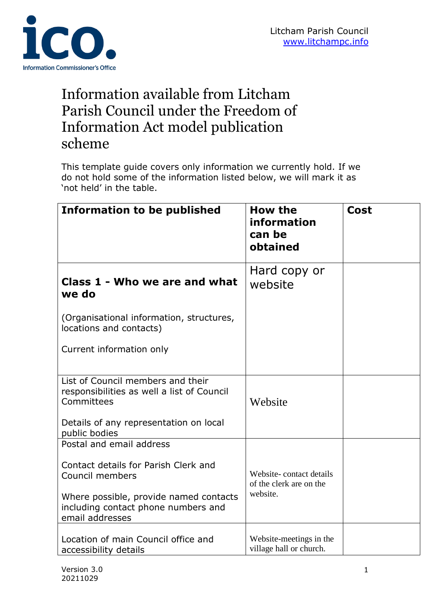

## Information available from Litcham Parish Council under the Freedom of Information Act model publication scheme

This template guide covers only information we currently hold. If we do not hold some of the information listed below, we will mark it as 'not held' in the table.

| <b>Information to be published</b>                                                               | <b>How the</b><br>information<br>can be<br>obtained | Cost |
|--------------------------------------------------------------------------------------------------|-----------------------------------------------------|------|
| Class 1 - Who we are and what<br>we do                                                           | Hard copy or<br>website                             |      |
| (Organisational information, structures,<br>locations and contacts)                              |                                                     |      |
| Current information only                                                                         |                                                     |      |
| List of Council members and their<br>responsibilities as well a list of Council<br>Committees    | Website                                             |      |
| Details of any representation on local<br>public bodies                                          |                                                     |      |
| Postal and email address                                                                         |                                                     |      |
| Contact details for Parish Clerk and<br>Council members                                          | Website-contact details<br>of the clerk are on the  |      |
| Where possible, provide named contacts<br>including contact phone numbers and<br>email addresses | website.                                            |      |
| Location of main Council office and<br>accessibility details                                     | Website-meetings in the<br>village hall or church.  |      |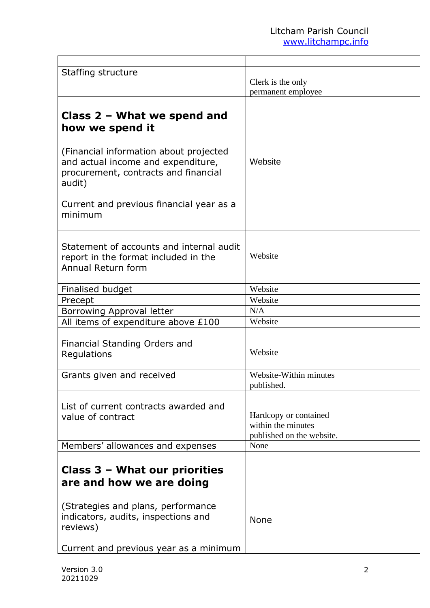| Staffing structure                                                                                                               | Clerk is the only<br>permanent employee                                  |  |
|----------------------------------------------------------------------------------------------------------------------------------|--------------------------------------------------------------------------|--|
| Class $2$ – What we spend and<br>how we spend it<br>(Financial information about projected<br>and actual income and expenditure, | Website                                                                  |  |
| procurement, contracts and financial<br>audit)<br>Current and previous financial year as a                                       |                                                                          |  |
| minimum                                                                                                                          |                                                                          |  |
| Statement of accounts and internal audit<br>report in the format included in the<br>Annual Return form                           | Website                                                                  |  |
| Finalised budget                                                                                                                 | Website                                                                  |  |
| Precept                                                                                                                          | Website                                                                  |  |
| Borrowing Approval letter                                                                                                        | N/A                                                                      |  |
| All items of expenditure above £100                                                                                              | Website                                                                  |  |
| Financial Standing Orders and<br>Regulations                                                                                     | Website                                                                  |  |
| Grants given and received                                                                                                        | Website-Within minutes<br>published.                                     |  |
| List of current contracts awarded and<br>value of contract                                                                       | Hardcopy or contained<br>within the minutes<br>published on the website. |  |
| Members' allowances and expenses                                                                                                 | None                                                                     |  |
| Class $3$ – What our priorities<br>are and how we are doing                                                                      |                                                                          |  |
| (Strategies and plans, performance<br>indicators, audits, inspections and<br>reviews)                                            | <b>None</b>                                                              |  |
| Current and previous year as a minimum                                                                                           |                                                                          |  |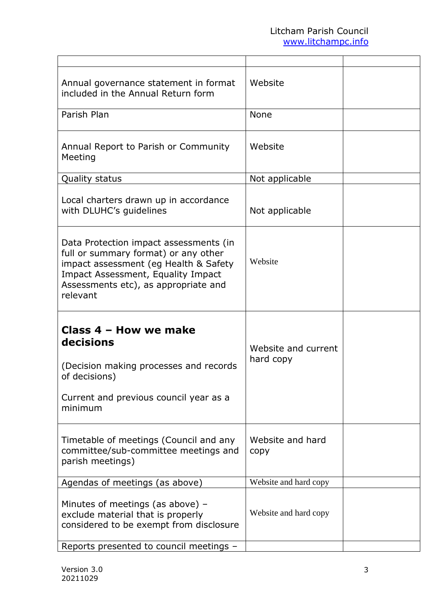| Annual governance statement in format<br>included in the Annual Return form                                                                                                                                       | Website                          |  |
|-------------------------------------------------------------------------------------------------------------------------------------------------------------------------------------------------------------------|----------------------------------|--|
| Parish Plan                                                                                                                                                                                                       | <b>None</b>                      |  |
| Annual Report to Parish or Community<br>Meeting                                                                                                                                                                   | Website                          |  |
| <b>Quality status</b>                                                                                                                                                                                             | Not applicable                   |  |
| Local charters drawn up in accordance<br>with DLUHC's guidelines                                                                                                                                                  | Not applicable                   |  |
| Data Protection impact assessments (in<br>full or summary format) or any other<br>impact assessment (eg Health & Safety<br>Impact Assessment, Equality Impact<br>Assessments etc), as appropriate and<br>relevant | Website                          |  |
| Class 4 - How we make<br>decisions<br>(Decision making processes and records<br>of decisions)<br>Current and previous council year as a<br>minimum                                                                | Website and current<br>hard copy |  |
| Timetable of meetings (Council and any<br>committee/sub-committee meetings and<br>parish meetings)                                                                                                                | Website and hard<br>copy         |  |
| Agendas of meetings (as above)                                                                                                                                                                                    | Website and hard copy            |  |
| Minutes of meetings (as above) $-$<br>exclude material that is properly<br>considered to be exempt from disclosure                                                                                                | Website and hard copy            |  |
| Reports presented to council meetings -                                                                                                                                                                           |                                  |  |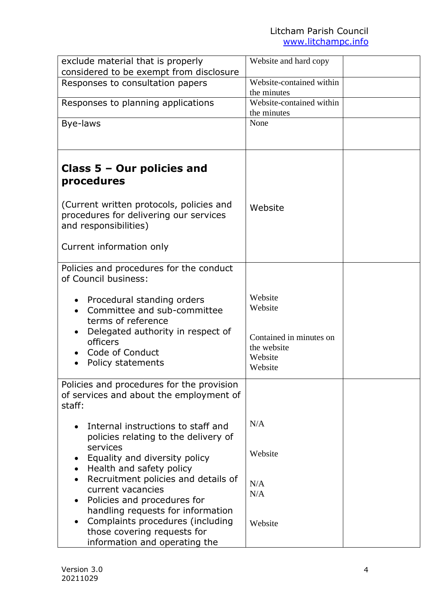| exclude material that is properly                                                                           | Website and hard copy                                        |  |
|-------------------------------------------------------------------------------------------------------------|--------------------------------------------------------------|--|
| considered to be exempt from disclosure                                                                     |                                                              |  |
| Responses to consultation papers                                                                            | Website-contained within                                     |  |
|                                                                                                             | the minutes                                                  |  |
| Responses to planning applications                                                                          | Website-contained within<br>the minutes                      |  |
| Bye-laws                                                                                                    | None                                                         |  |
|                                                                                                             |                                                              |  |
|                                                                                                             |                                                              |  |
| Class $5 -$ Our policies and<br>procedures                                                                  |                                                              |  |
| (Current written protocols, policies and<br>procedures for delivering our services<br>and responsibilities) | Website                                                      |  |
| Current information only                                                                                    |                                                              |  |
| Policies and procedures for the conduct<br>of Council business:                                             |                                                              |  |
| Procedural standing orders<br>Committee and sub-committee<br>terms of reference                             | Website<br>Website                                           |  |
| Delegated authority in respect of<br>officers<br>Code of Conduct<br>Policy statements                       | Contained in minutes on<br>the website<br>Website<br>Website |  |
| Policies and procedures for the provision<br>of services and about the employment of<br>staff:              |                                                              |  |
| Internal instructions to staff and<br>policies relating to the delivery of<br>services                      | N/A                                                          |  |
| Equality and diversity policy<br>Health and safety policy                                                   | Website                                                      |  |
| Recruitment policies and details of<br>current vacancies                                                    | N/A<br>N/A                                                   |  |
| Policies and procedures for<br>handling requests for information                                            |                                                              |  |
| Complaints procedures (including<br>those covering requests for<br>information and operating the            | Website                                                      |  |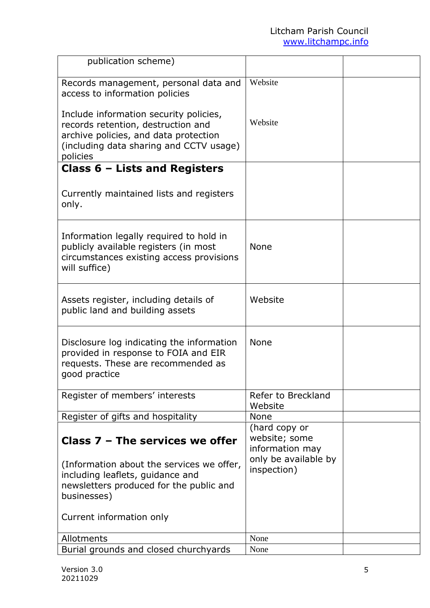| publication scheme)                                                                                                                                                          |                                                                           |  |
|------------------------------------------------------------------------------------------------------------------------------------------------------------------------------|---------------------------------------------------------------------------|--|
| Records management, personal data and<br>access to information policies                                                                                                      | Website                                                                   |  |
| Include information security policies,<br>records retention, destruction and<br>archive policies, and data protection<br>(including data sharing and CCTV usage)<br>policies | Website                                                                   |  |
| Class $6$ – Lists and Registers                                                                                                                                              |                                                                           |  |
| Currently maintained lists and registers<br>only.                                                                                                                            |                                                                           |  |
| Information legally required to hold in<br>publicly available registers (in most<br>circumstances existing access provisions<br>will suffice)                                | <b>None</b>                                                               |  |
| Assets register, including details of<br>public land and building assets                                                                                                     | Website                                                                   |  |
| Disclosure log indicating the information<br>provided in response to FOIA and EIR<br>requests. These are recommended as<br>good practice                                     | <b>None</b>                                                               |  |
| Register of members' interests                                                                                                                                               | Refer to Breckland<br>Website                                             |  |
| Register of gifts and hospitality                                                                                                                                            | <b>None</b>                                                               |  |
| Class $7$ – The services we offer                                                                                                                                            | (hard copy or<br>website; some<br>information may<br>only be available by |  |
| (Information about the services we offer,<br>including leaflets, guidance and<br>newsletters produced for the public and<br>businesses)                                      | inspection)                                                               |  |
| Current information only                                                                                                                                                     |                                                                           |  |
| Allotments                                                                                                                                                                   | None                                                                      |  |
| Burial grounds and closed churchyards                                                                                                                                        | None                                                                      |  |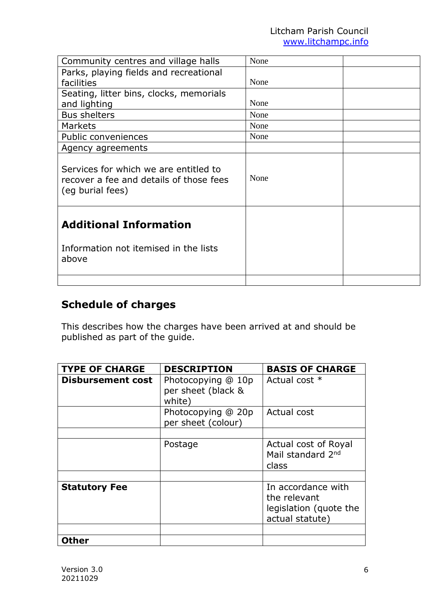## Litcham Parish Council www.litchampc.info

| Community centres and village halls                                                                  | None |  |
|------------------------------------------------------------------------------------------------------|------|--|
| Parks, playing fields and recreational                                                               |      |  |
| facilities                                                                                           | None |  |
| Seating, litter bins, clocks, memorials                                                              |      |  |
| and lighting                                                                                         | None |  |
| <b>Bus shelters</b>                                                                                  | None |  |
| <b>Markets</b>                                                                                       | None |  |
| Public conveniences                                                                                  | None |  |
| Agency agreements                                                                                    |      |  |
| Services for which we are entitled to<br>recover a fee and details of those fees<br>(eg burial fees) | None |  |
| <b>Additional Information</b><br>Information not itemised in the lists<br>above                      |      |  |
|                                                                                                      |      |  |

## **Schedule of charges**

This describes how the charges have been arrived at and should be published as part of the guide.

| <b>TYPE OF CHARGE</b>    | <b>DESCRIPTION</b>                                 | <b>BASIS OF CHARGE</b>                                                          |
|--------------------------|----------------------------------------------------|---------------------------------------------------------------------------------|
| <b>Disbursement cost</b> | Photocopying @ 10p<br>per sheet (black &<br>white) | Actual cost *                                                                   |
|                          | Photocopying @ 20p<br>per sheet (colour)           | Actual cost                                                                     |
|                          |                                                    |                                                                                 |
|                          | Postage                                            | Actual cost of Royal<br>Mail standard 2 <sup>nd</sup><br>class                  |
|                          |                                                    |                                                                                 |
| <b>Statutory Fee</b>     |                                                    | In accordance with<br>the relevant<br>legislation (quote the<br>actual statute) |
|                          |                                                    |                                                                                 |
| <b>Other</b>             |                                                    |                                                                                 |